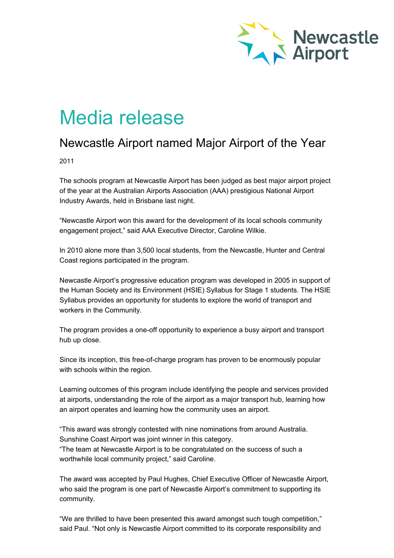

## Media release

## Newcastle Airport named Major Airport of the Year

2011

The schools program at Newcastle Airport has been judged as best major airport project of the year at the Australian Airports Association (AAA) prestigious National Airport Industry Awards, held in Brisbane last night.

"Newcastle Airport won this award for the development of its local schools community engagement project," said AAA Executive Director, Caroline Wilkie.

In 2010 alone more than 3,500 local students, from the Newcastle, Hunter and Central Coast regions participated in the program.

Newcastle Airport's progressive education program was developed in 2005 in support of the Human Society and its Environment (HSIE) Syllabus for Stage 1 students. The HSIE Syllabus provides an opportunity for students to explore the world of transport and workers in the Community.

The program provides a one-off opportunity to experience a busy airport and transport hub up close.

Since its inception, this free-of-charge program has proven to be enormously popular with schools within the region.

Learning outcomes of this program include identifying the people and services provided at airports, understanding the role of the airport as a major transport hub, learning how an airport operates and learning how the community uses an airport.

"This award was strongly contested with nine nominations from around Australia. Sunshine Coast Airport was joint winner in this category. "The team at Newcastle Airport is to be congratulated on the success of such a worthwhile local community project," said Caroline.

The award was accepted by Paul Hughes, Chief Executive Officer of Newcastle Airport, who said the program is one part of Newcastle Airport's commitment to supporting its community.

"We are thrilled to have been presented this award amongst such tough competition," said Paul. "Not only is Newcastle Airport committed to its corporate responsibility and